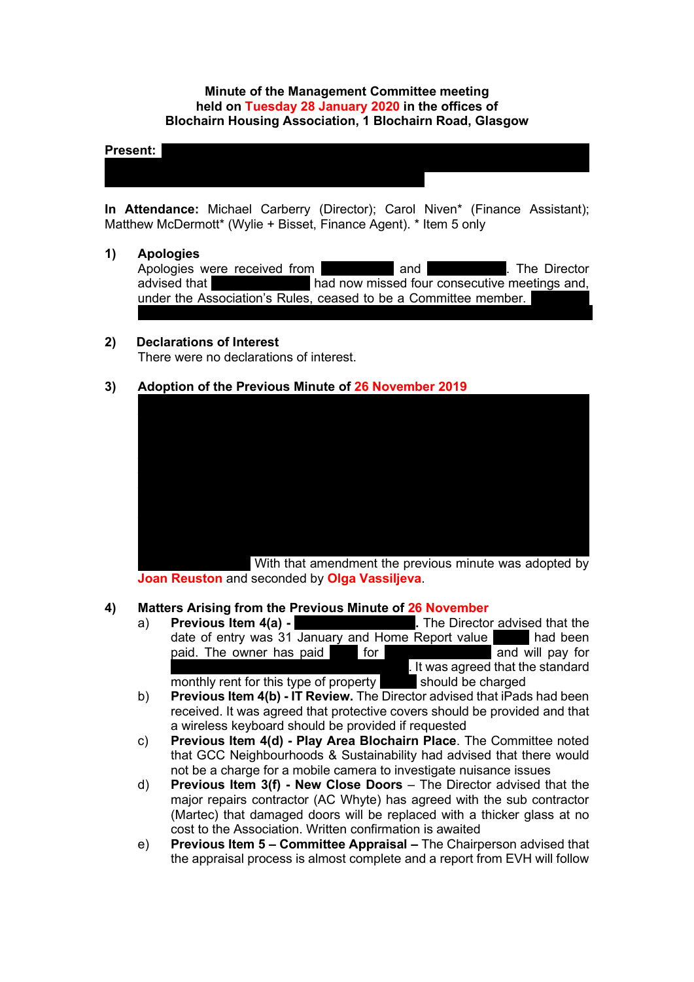# **Minute of the Management Committee meeting held on Tuesday 28 January 2020 in the offices of Blochairn Housing Association, 1 Blochairn Road, Glasgow**

#### **Present:** Lazarous Chisela; Denise Doherty; Sakina Masih; Rose McLeish; Rose McLeish; Lynsey, Lynsey, Lynsey, Lynsey, Lynsey, Lynsey, Lynsey, Lynsey, Lynsey, Lynsey, Lynsey, Lynsey, Lynsey, Lynsey, Lynsey, Lynsey, Lynsey,

**In Attendance:** Michael Carberry (Director); Carol Niven\* (Finance Assistant); Matthew McDermott\* (Wylie + Bisset, Finance Agent). \* Item 5 only

Morgan (Chairperson); Michelle Murray-Moore; Catherine Neil; Joan Reuston; Sheena

#### **1) Apologies**

Apologies were received from Andy Andy Duffus and Analyzine Director advised that **Rosemannis had now missed four consecutive meetings and,** under the Association's Rules, ceased to be a Committee member. had indicated before Christmas that she had to resign due to family commitments.

# **2) Declarations of Interest**

There were no declarations of interest.

# **3) Adoption of the Previous Minute of 26 November 2019**



**Joan Reuston** and seconded by **Olga Vassiljeva**.

# **4) Matters Arising from the Previous Minute of 26 November**

a) **Previous Item 4(a) -** 28 **Previous Item 4(a) -** 28 Dunca 1. The Director advised that the date of entry was 31 January and Home Report value paid. The owner has paid  $\overline{1}$  for major repair and will pay for . It was agreed that the standard monthly rent for this type of property should be charged

b) **Previous Item 4(b) - IT Review.** The Director advised that iPads had been received. It was agreed that protective covers should be provided and that a wireless keyboard should be provided if requested

- c) **Previous Item 4(d) - Play Area Blochairn Place**. The Committee noted that GCC Neighbourhoods & Sustainability had advised that there would not be a charge for a mobile camera to investigate nuisance issues
- d) **Previous Item 3(f) - New Close Doors** The Director advised that the major repairs contractor (AC Whyte) has agreed with the sub contractor (Martec) that damaged doors will be replaced with a thicker glass at no cost to the Association. Written confirmation is awaited
- e) **Previous Item 5 – Committee Appraisal –** The Chairperson advised that the appraisal process is almost complete and a report from EVH will follow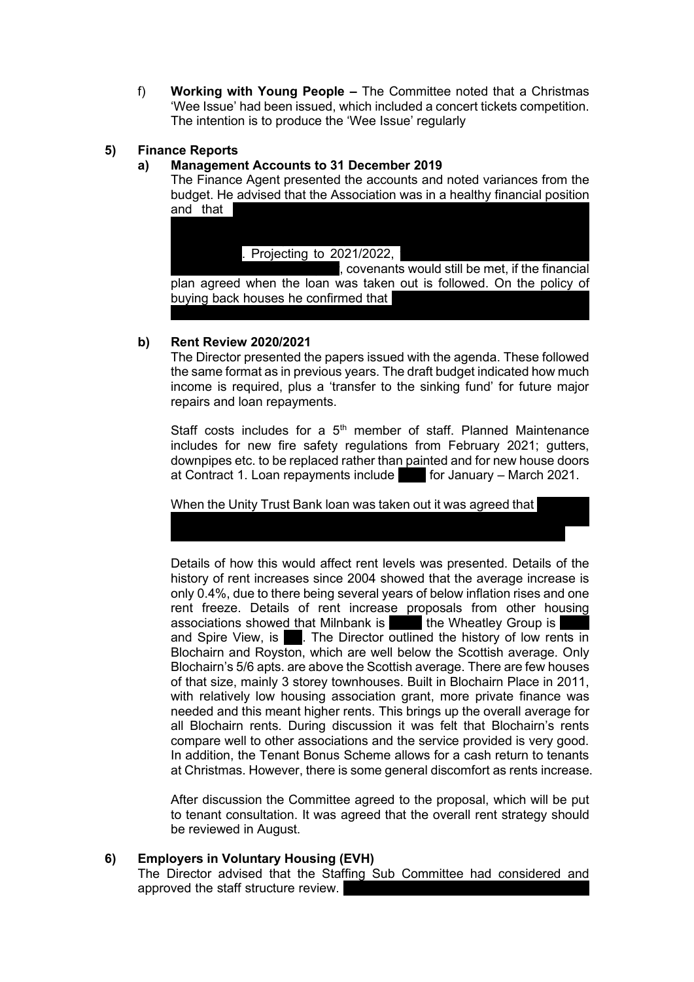f) **Working with Young People –** The Committee noted that a Christmas 'Wee Issue' had been issued, which included a concert tickets competition. The intention is to produce the 'Wee Issue' regularly

# **5) Finance Reports**

# **a) Management Accounts to 31 December 2019**

The Finance Agent presented the accounts and noted variances from the budget. He advised that the Association was in a healthy financial position and that

(£5.5million in 2017) would begin in January 2021. Only interest has been . Projecting to  $2021/2022$ ,  $\alpha$  covenants would still be met, if the financial

plan agreed when the loan was taken out is followed. On the policy of buying back houses he confirmed that to be paid for. As 'buy backs' increase a fund can be arranged with a bank

# **b) Rent Review 2020/2021**

The Director presented the papers issued with the agenda. These followed the same format as in previous years. The draft budget indicated how much income is required, plus a 'transfer to the sinking fund' for future major repairs and loan repayments.

Staff costs includes for a  $5<sup>th</sup>$  member of staff. Planned Maintenance includes for new fire safety regulations from February 2021; gutters, downpipes etc. to be replaced rather than painted and for new house doors at Contract 1. Loan repayments include  $\blacksquare$  for January – March 2021.

would be RPI + 1.5% for 4 years and RPI + 1.5% for the following 4 years and RPI + 1.5% for the following 4 years.

When the Unity Trust Bank loan was taken out it was agreed that

Details of how this would affect rent levels was presented. Details of the history of rent increases since 2004 showed that the average increase is only 0.4%, due to there being several years of below inflation rises and one rent freeze. Details of rent increase proposals from other housing associations showed that Milnbank is 3.5%; the Wheatley Group is and Spire View, is **5. The Director outlined the history of low rents in** Blochairn and Royston, which are well below the Scottish average. Only Blochairn's 5/6 apts. are above the Scottish average. There are few houses of that size, mainly 3 storey townhouses. Built in Blochairn Place in 2011, with relatively low housing association grant, more private finance was needed and this meant higher rents. This brings up the overall average for all Blochairn rents. During discussion it was felt that Blochairn's rents compare well to other associations and the service provided is very good. In addition, the Tenant Bonus Scheme allows for a cash return to tenants at Christmas. However, there is some general discomfort as rents increase.

After discussion the Committee agreed to the proposal, which will be put to tenant consultation. It was agreed that the overall rent strategy should be reviewed in August.

# **6) Employers in Voluntary Housing (EVH)**

The Director advised that the Staffing Sub Committee had considered and approved the staff structure review.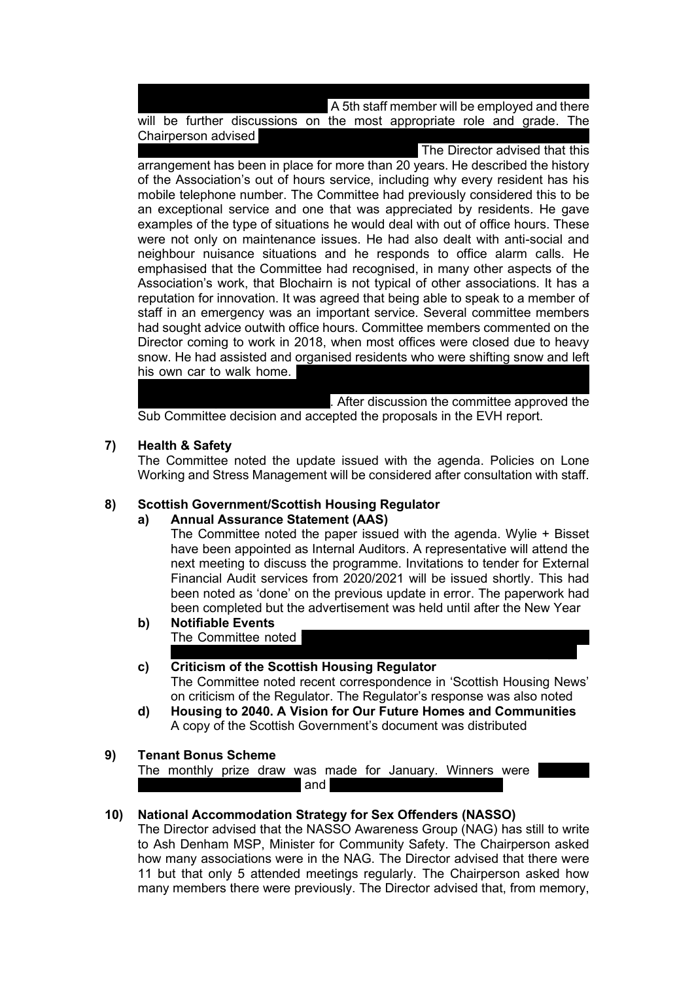A 5th staff member will be employed and there will be further discussions on the most appropriate role and grade. The Chairperson advised

is due to various issues, including the 24/7 'on call' service; 'one of the more

The Director advised that this arrangement has been in place for more than 20 years. He described the history of the Association's out of hours service, including why every resident has his mobile telephone number. The Committee had previously considered this to be an exceptional service and one that was appreciated by residents. He gave examples of the type of situations he would deal with out of office hours. These were not only on maintenance issues. He had also dealt with anti-social and neighbour nuisance situations and he responds to office alarm calls. He emphasised that the Committee had recognised, in many other aspects of the Association's work, that Blochairn is not typical of other associations. It has a reputation for innovation. It was agreed that being able to speak to a member of staff in an emergency was an important service. Several committee members had sought advice outwith office hours. Committee members commented on the Director coming to work in 2018, when most offices were closed due to heavy snow. He had assisted and organised residents who were shifting snow and left his own car to walk home.

concern expressed. She had worked for many years in an 'on call' scenario and . After discussion the committee approved the Sub Committee decision and accepted the proposals in the EVH report.

#### **7) Health & Safety**

The Committee noted the update issued with the agenda. Policies on Lone Working and Stress Management will be considered after consultation with staff.

#### **8) Scottish Government/Scottish Housing Regulator**

#### **a) Annual Assurance Statement (AAS)**

The Committee noted the paper issued with the agenda. Wylie + Bisset have been appointed as Internal Auditors. A representative will attend the next meeting to discuss the programme. Invitations to tender for External Financial Audit services from 2020/2021 will be issued shortly. This had been noted as 'done' on the previous update in error. The paperwork had been completed but the advertisement was held until after the New Year

**b) Notifiable Events** The Committee noted

# **c) Criticism of the Scottish Housing Regulator** The Committee noted recent correspondence in 'Scottish Housing News' on criticism of the Regulator. The Regulator's response was also noted

**d) Housing to 2040. A Vision for Our Future Homes and Communities** A copy of the Scottish Government's document was distributed

#### **9) Tenant Bonus Scheme**

The monthly prize draw was made for January. Winners were  $\blacksquare$  and  $\blacksquare$ 

# **10) National Accommodation Strategy for Sex Offenders (NASSO)**

The Director advised that the NASSO Awareness Group (NAG) has still to write to Ash Denham MSP, Minister for Community Safety. The Chairperson asked how many associations were in the NAG. The Director advised that there were 11 but that only 5 attended meetings regularly. The Chairperson asked how many members there were previously. The Director advised that, from memory,